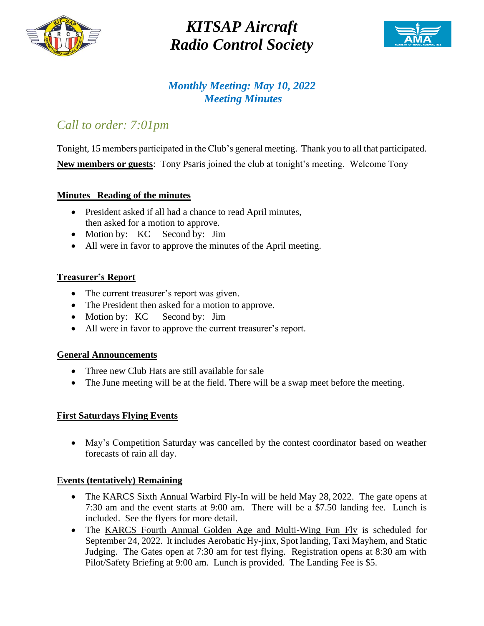

# *KITSAP Aircraft Radio Control Society*



### *Monthly Meeting: May 10, 2022 Meeting Minutes*

# *Call to order: 7:01pm*

Tonight, 15 members participated in the Club's general meeting. Thank you to all that participated. **New members or guests**: Tony Psaris joined the club at tonight's meeting. Welcome Tony

#### **Minutes Reading of the minutes**

- President asked if all had a chance to read April minutes, then asked for a motion to approve.
- Motion by: KC Second by: Jim
- All were in favor to approve the minutes of the April meeting.

#### **Treasurer's Report**

- The current treasurer's report was given.
- The President then asked for a motion to approve.
- Motion by: KC Second by: Jim
- All were in favor to approve the current treasurer's report.

#### **General Announcements**

- Three new Club Hats are still available for sale
- The June meeting will be at the field. There will be a swap meet before the meeting.

#### **First Saturdays Flying Events**

• May's Competition Saturday was cancelled by the contest coordinator based on weather forecasts of rain all day.

#### **Events (tentatively) Remaining**

- The KARCS Sixth Annual Warbird Fly-In will be held May 28, 2022. The gate opens at 7:30 am and the event starts at 9:00 am. There will be a \$7.50 landing fee. Lunch is included. See the flyers for more detail.
- The KARCS Fourth Annual Golden Age and Multi-Wing Fun Fly is scheduled for September 24, 2022. It includes Aerobatic Hy-jinx, Spot landing, Taxi Mayhem, and Static Judging. The Gates open at 7:30 am for test flying. Registration opens at 8:30 am with Pilot/Safety Briefing at 9:00 am. Lunch is provided. The Landing Fee is \$5.